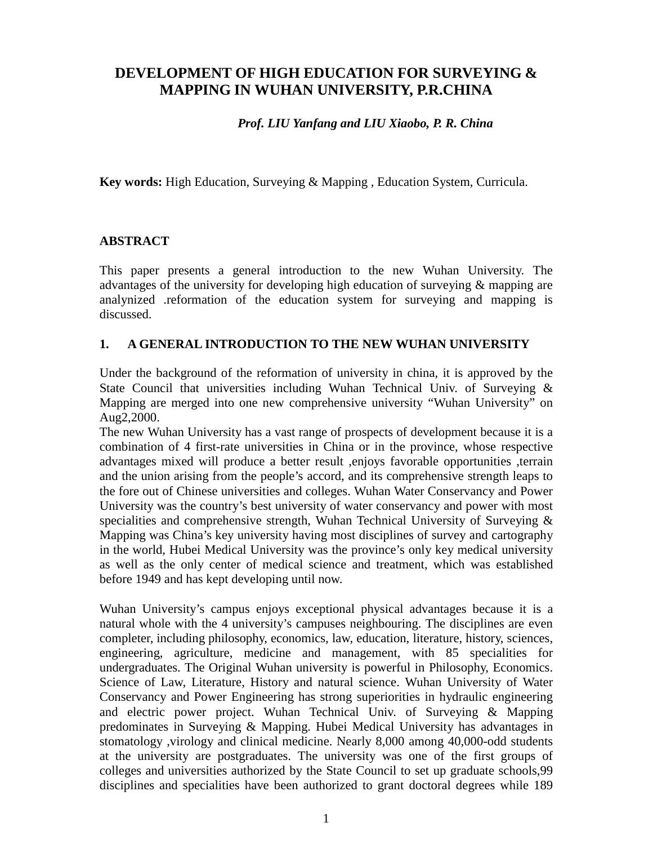# **DEVELOPMENT OF HIGH EDUCATION FOR SURVEYING & MAPPING IN WUHAN UNIVERSITY, P.R.CHINA**

### *Prof. LIU Yanfang and LIU Xiaobo, P. R. China*

**Key words:** High Education, Surveying & Mapping , Education System, Curricula.

### **ABSTRACT**

This paper presents a general introduction to the new Wuhan University. The advantages of the university for developing high education of surveying & mapping are analynized .reformation of the education system for surveying and mapping is discussed.

### **1. A GENERAL INTRODUCTION TO THE NEW WUHAN UNIVERSITY**

Under the background of the reformation of university in china, it is approved by the State Council that universities including Wuhan Technical Univ. of Surveying & Mapping are merged into one new comprehensive university "Wuhan University" on Aug2,2000.

The new Wuhan University has a vast range of prospects of development because it is a combination of 4 first-rate universities in China or in the province, whose respective advantages mixed will produce a better result ,enjoys favorable opportunities ,terrain and the union arising from the people's accord, and its comprehensive strength leaps to the fore out of Chinese universities and colleges. Wuhan Water Conservancy and Power University was the country's best university of water conservancy and power with most specialities and comprehensive strength, Wuhan Technical University of Surveying & Mapping was China's key university having most disciplines of survey and cartography in the world, Hubei Medical University was the province's only key medical university as well as the only center of medical science and treatment, which was established before 1949 and has kept developing until now.

Wuhan University's campus enjoys exceptional physical advantages because it is a natural whole with the 4 university's campuses neighbouring. The disciplines are even completer, including philosophy, economics, law, education, literature, history, sciences, engineering, agriculture, medicine and management, with 85 specialities for undergraduates. The Original Wuhan university is powerful in Philosophy, Economics. Science of Law, Literature, History and natural science. Wuhan University of Water Conservancy and Power Engineering has strong superiorities in hydraulic engineering and electric power project. Wuhan Technical Univ. of Surveying & Mapping predominates in Surveying & Mapping. Hubei Medical University has advantages in stomatology ,virology and clinical medicine. Nearly 8,000 among 40,000-odd students at the university are postgraduates. The university was one of the first groups of colleges and universities authorized by the State Council to set up graduate schools,99 disciplines and specialities have been authorized to grant doctoral degrees while 189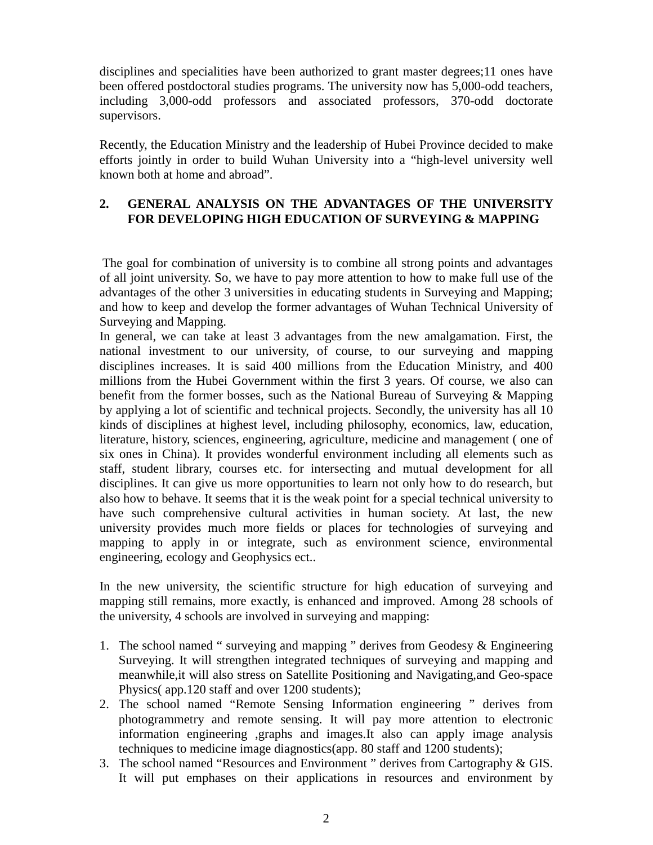disciplines and specialities have been authorized to grant master degrees;11 ones have been offered postdoctoral studies programs. The university now has 5,000-odd teachers, including 3,000-odd professors and associated professors, 370-odd doctorate supervisors.

Recently, the Education Ministry and the leadership of Hubei Province decided to make efforts jointly in order to build Wuhan University into a "high-level university well known both at home and abroad".

## **2. GENERAL ANALYSIS ON THE ADVANTAGES OF THE UNIVERSITY FOR DEVELOPING HIGH EDUCATION OF SURVEYING & MAPPING**

 The goal for combination of university is to combine all strong points and advantages of all joint university. So, we have to pay more attention to how to make full use of the advantages of the other 3 universities in educating students in Surveying and Mapping; and how to keep and develop the former advantages of Wuhan Technical University of Surveying and Mapping.

In general, we can take at least 3 advantages from the new amalgamation. First, the national investment to our university, of course, to our surveying and mapping disciplines increases. It is said 400 millions from the Education Ministry, and 400 millions from the Hubei Government within the first 3 years. Of course, we also can benefit from the former bosses, such as the National Bureau of Surveying & Mapping by applying a lot of scientific and technical projects. Secondly, the university has all 10 kinds of disciplines at highest level, including philosophy, economics, law, education, literature, history, sciences, engineering, agriculture, medicine and management ( one of six ones in China). It provides wonderful environment including all elements such as staff, student library, courses etc. for intersecting and mutual development for all disciplines. It can give us more opportunities to learn not only how to do research, but also how to behave. It seems that it is the weak point for a special technical university to have such comprehensive cultural activities in human society. At last, the new university provides much more fields or places for technologies of surveying and mapping to apply in or integrate, such as environment science, environmental engineering, ecology and Geophysics ect..

In the new university, the scientific structure for high education of surveying and mapping still remains, more exactly, is enhanced and improved. Among 28 schools of the university, 4 schools are involved in surveying and mapping:

- 1. The school named " surveying and mapping " derives from Geodesy & Engineering Surveying. It will strengthen integrated techniques of surveying and mapping and meanwhile,it will also stress on Satellite Positioning and Navigating,and Geo-space Physics( app.120 staff and over 1200 students);
- 2. The school named "Remote Sensing Information engineering " derives from photogrammetry and remote sensing. It will pay more attention to electronic information engineering ,graphs and images.It also can apply image analysis techniques to medicine image diagnostics(app. 80 staff and 1200 students);
- 3. The school named "Resources and Environment " derives from Cartography & GIS. It will put emphases on their applications in resources and environment by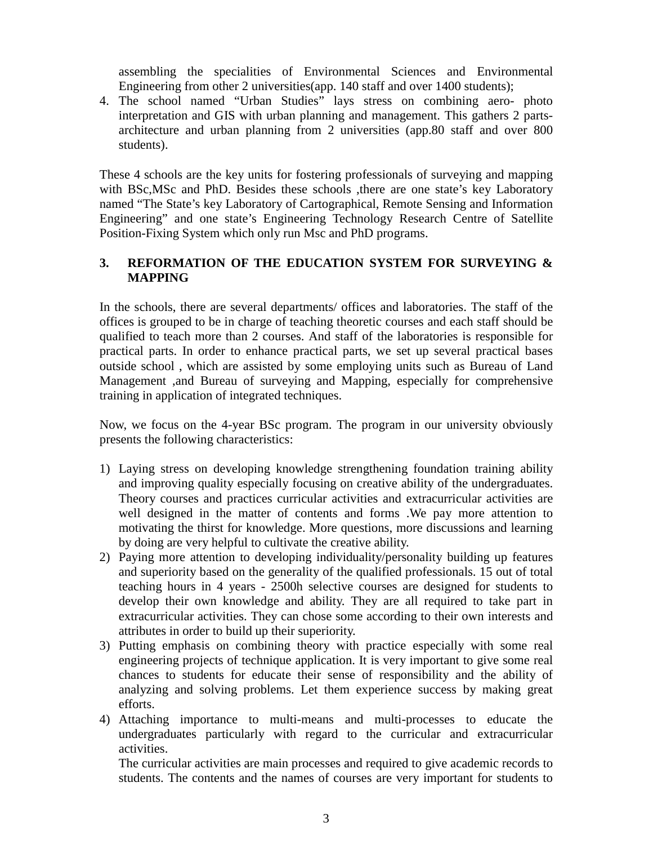assembling the specialities of Environmental Sciences and Environmental Engineering from other 2 universities(app. 140 staff and over 1400 students);

4. The school named "Urban Studies" lays stress on combining aero- photo interpretation and GIS with urban planning and management. This gathers 2 partsarchitecture and urban planning from 2 universities (app.80 staff and over 800 students).

These 4 schools are the key units for fostering professionals of surveying and mapping with BSc, MSc and PhD. Besides these schools , there are one state's key Laboratory named "The State's key Laboratory of Cartographical, Remote Sensing and Information Engineering" and one state's Engineering Technology Research Centre of Satellite Position-Fixing System which only run Msc and PhD programs.

#### **3. REFORMATION OF THE EDUCATION SYSTEM FOR SURVEYING & MAPPING**

In the schools, there are several departments/ offices and laboratories. The staff of the offices is grouped to be in charge of teaching theoretic courses and each staff should be qualified to teach more than 2 courses. And staff of the laboratories is responsible for practical parts. In order to enhance practical parts, we set up several practical bases outside school , which are assisted by some employing units such as Bureau of Land Management ,and Bureau of surveying and Mapping, especially for comprehensive training in application of integrated techniques.

Now, we focus on the 4-year BSc program. The program in our university obviously presents the following characteristics:

- 1) Laying stress on developing knowledge strengthening foundation training ability and improving quality especially focusing on creative ability of the undergraduates. Theory courses and practices curricular activities and extracurricular activities are well designed in the matter of contents and forms .We pay more attention to motivating the thirst for knowledge. More questions, more discussions and learning by doing are very helpful to cultivate the creative ability.
- 2) Paying more attention to developing individuality/personality building up features and superiority based on the generality of the qualified professionals. 15 out of total teaching hours in 4 years - 2500h selective courses are designed for students to develop their own knowledge and ability. They are all required to take part in extracurricular activities. They can chose some according to their own interests and attributes in order to build up their superiority.
- 3) Putting emphasis on combining theory with practice especially with some real engineering projects of technique application. It is very important to give some real chances to students for educate their sense of responsibility and the ability of analyzing and solving problems. Let them experience success by making great efforts.
- 4) Attaching importance to multi-means and multi-processes to educate the undergraduates particularly with regard to the curricular and extracurricular activities.

The curricular activities are main processes and required to give academic records to students. The contents and the names of courses are very important for students to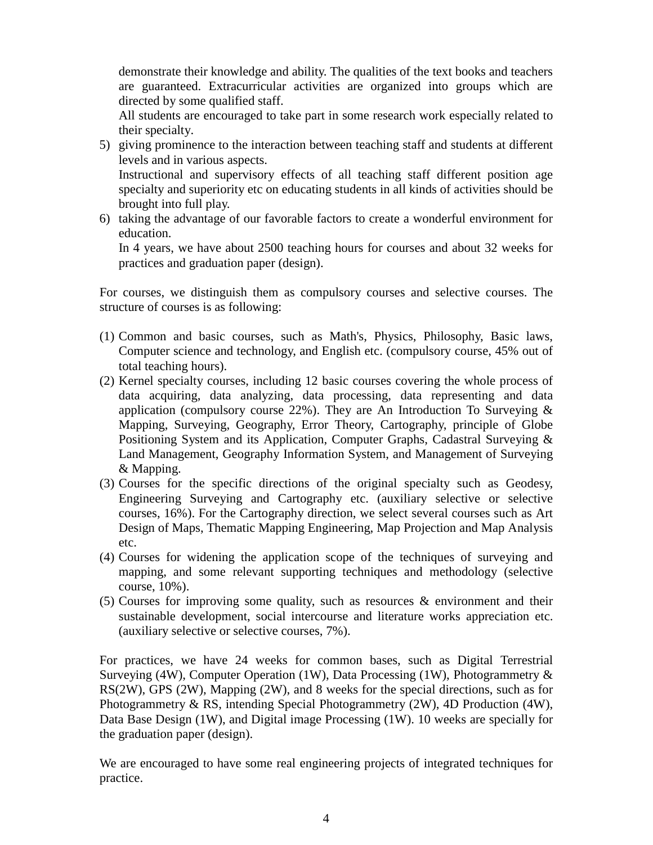demonstrate their knowledge and ability. The qualities of the text books and teachers are guaranteed. Extracurricular activities are organized into groups which are directed by some qualified staff.

All students are encouraged to take part in some research work especially related to their specialty.

5) giving prominence to the interaction between teaching staff and students at different levels and in various aspects.

Instructional and supervisory effects of all teaching staff different position age specialty and superiority etc on educating students in all kinds of activities should be brought into full play.

6) taking the advantage of our favorable factors to create a wonderful environment for education.

In 4 years, we have about 2500 teaching hours for courses and about 32 weeks for practices and graduation paper (design).

For courses, we distinguish them as compulsory courses and selective courses. The structure of courses is as following:

- (1) Common and basic courses, such as Math's, Physics, Philosophy, Basic laws, Computer science and technology, and English etc. (compulsory course, 45% out of total teaching hours).
- (2) Kernel specialty courses, including 12 basic courses covering the whole process of data acquiring, data analyzing, data processing, data representing and data application (compulsory course  $22\%$ ). They are An Introduction To Surveying  $\&$ Mapping, Surveying, Geography, Error Theory, Cartography, principle of Globe Positioning System and its Application, Computer Graphs, Cadastral Surveying & Land Management, Geography Information System, and Management of Surveying & Mapping.
- (3) Courses for the specific directions of the original specialty such as Geodesy, Engineering Surveying and Cartography etc. (auxiliary selective or selective courses, 16%). For the Cartography direction, we select several courses such as Art Design of Maps, Thematic Mapping Engineering, Map Projection and Map Analysis etc.
- (4) Courses for widening the application scope of the techniques of surveying and mapping, and some relevant supporting techniques and methodology (selective course, 10%).
- (5) Courses for improving some quality, such as resources & environment and their sustainable development, social intercourse and literature works appreciation etc. (auxiliary selective or selective courses, 7%).

For practices, we have 24 weeks for common bases, such as Digital Terrestrial Surveying (4W), Computer Operation (1W), Data Processing (1W), Photogrammetry & RS(2W), GPS (2W), Mapping (2W), and 8 weeks for the special directions, such as for Photogrammetry & RS, intending Special Photogrammetry (2W), 4D Production (4W), Data Base Design (1W), and Digital image Processing (1W). 10 weeks are specially for the graduation paper (design).

We are encouraged to have some real engineering projects of integrated techniques for practice.